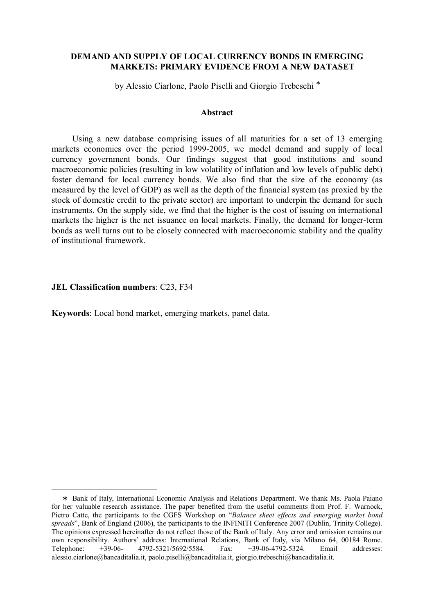## DEMAND AND SUPPLY OF LOCAL CURRENCY BONDS IN EMERGING MARKETS: PRIMARY EVIDENCE FROM A NEW DATASET

by Alessio Ciarlone, Paolo Piselli and Giorgio Trebeschi <sup>∗</sup>

#### Abstract

Using a new database comprising issues of all maturities for a set of 13 emerging markets economies over the period 1999-2005, we model demand and supply of local currency government bonds. Our findings suggest that good institutions and sound macroeconomic policies (resulting in low volatility of inflation and low levels of public debt) foster demand for local currency bonds. We also find that the size of the economy (as measured by the level of GDP) as well as the depth of the financial system (as proxied by the stock of domestic credit to the private sector) are important to underpin the demand for such instruments. On the supply side, we find that the higher is the cost of issuing on international markets the higher is the net issuance on local markets. Finally, the demand for longer-term bonds as well turns out to be closely connected with macroeconomic stability and the quality of institutional framework.

#### JEL Classification numbers: C23, F34

 $\overline{a}$ 

Keywords: Local bond market, emerging markets, panel data.

<sup>∗</sup> Bank of Italy, International Economic Analysis and Relations Department. We thank Ms. Paola Paiano for her valuable research assistance. The paper benefited from the useful comments from Prof. F. Warnock, Pietro Catte, the participants to the CGFS Workshop on "Balance sheet effects and emerging market bond spreads", Bank of England (2006), the participants to the INFINITI Conference 2007 (Dublin, Trinity College). The opinions expressed hereinafter do not reflect those of the Bank of Italy. Any error and omission remains our own responsibility. Authors' address: International Relations, Bank of Italy, via Milano 64, 00184 Rome.<br>Telephone: +39-06- 4792-5321/5692/5584. Fax: +39-06-4792-5324. Email addresses: Telephone: +39-06- 4792-5321/5692/5584. Fax: +39-06-4792-5324. Email addresses: alessio.ciarlone@bancaditalia.it, paolo.piselli@bancaditalia.it, giorgio.trebeschi@bancaditalia.it.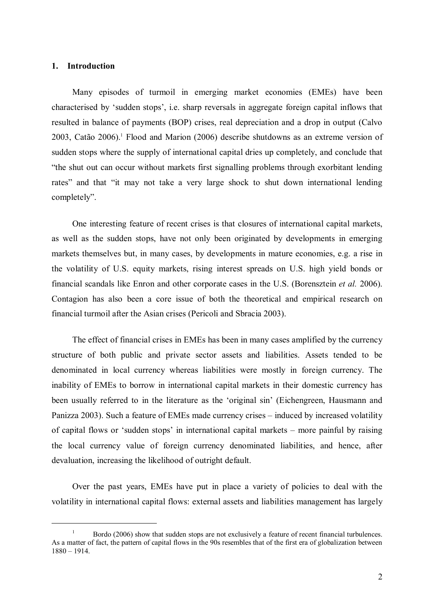## 1. Introduction

 $\overline{a}$ 

Many episodes of turmoil in emerging market economies (EMEs) have been characterised by 'sudden stops', i.e. sharp reversals in aggregate foreign capital inflows that resulted in balance of payments (BOP) crises, real depreciation and a drop in output (Calvo 2003, Catão 2006).<sup>1</sup> Flood and Marion (2006) describe shutdowns as an extreme version of sudden stops where the supply of international capital dries up completely, and conclude that "the shut out can occur without markets first signalling problems through exorbitant lending rates" and that "it may not take a very large shock to shut down international lending completely".

One interesting feature of recent crises is that closures of international capital markets, as well as the sudden stops, have not only been originated by developments in emerging markets themselves but, in many cases, by developments in mature economies, e.g. a rise in the volatility of U.S. equity markets, rising interest spreads on U.S. high yield bonds or financial scandals like Enron and other corporate cases in the U.S. (Borensztein et al. 2006). Contagion has also been a core issue of both the theoretical and empirical research on financial turmoil after the Asian crises (Pericoli and Sbracia 2003).

The effect of financial crises in EMEs has been in many cases amplified by the currency structure of both public and private sector assets and liabilities. Assets tended to be denominated in local currency whereas liabilities were mostly in foreign currency. The inability of EMEs to borrow in international capital markets in their domestic currency has been usually referred to in the literature as the 'original sin' (Eichengreen, Hausmann and Panizza 2003). Such a feature of EMEs made currency crises – induced by increased volatility of capital flows or 'sudden stops' in international capital markets – more painful by raising the local currency value of foreign currency denominated liabilities, and hence, after devaluation, increasing the likelihood of outright default.

Over the past years, EMEs have put in place a variety of policies to deal with the volatility in international capital flows: external assets and liabilities management has largely

 $1 -$ Bordo (2006) show that sudden stops are not exclusively a feature of recent financial turbulences. As a matter of fact, the pattern of capital flows in the 90s resembles that of the first era of globalization between 1880 – 1914.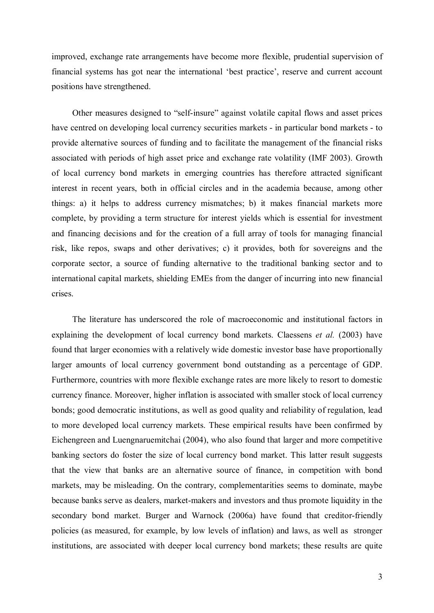improved, exchange rate arrangements have become more flexible, prudential supervision of financial systems has got near the international 'best practice', reserve and current account positions have strengthened.

Other measures designed to "self-insure" against volatile capital flows and asset prices have centred on developing local currency securities markets - in particular bond markets - to provide alternative sources of funding and to facilitate the management of the financial risks associated with periods of high asset price and exchange rate volatility (IMF 2003). Growth of local currency bond markets in emerging countries has therefore attracted significant interest in recent years, both in official circles and in the academia because, among other things: a) it helps to address currency mismatches; b) it makes financial markets more complete, by providing a term structure for interest yields which is essential for investment and financing decisions and for the creation of a full array of tools for managing financial risk, like repos, swaps and other derivatives; c) it provides, both for sovereigns and the corporate sector, a source of funding alternative to the traditional banking sector and to international capital markets, shielding EMEs from the danger of incurring into new financial crises.

The literature has underscored the role of macroeconomic and institutional factors in explaining the development of local currency bond markets. Claessens *et al.* (2003) have found that larger economies with a relatively wide domestic investor base have proportionally larger amounts of local currency government bond outstanding as a percentage of GDP. Furthermore, countries with more flexible exchange rates are more likely to resort to domestic currency finance. Moreover, higher inflation is associated with smaller stock of local currency bonds; good democratic institutions, as well as good quality and reliability of regulation, lead to more developed local currency markets. These empirical results have been confirmed by Eichengreen and Luengnaruemitchai (2004), who also found that larger and more competitive banking sectors do foster the size of local currency bond market. This latter result suggests that the view that banks are an alternative source of finance, in competition with bond markets, may be misleading. On the contrary, complementarities seems to dominate, maybe because banks serve as dealers, market-makers and investors and thus promote liquidity in the secondary bond market. Burger and Warnock (2006a) have found that creditor-friendly policies (as measured, for example, by low levels of inflation) and laws, as well as stronger institutions, are associated with deeper local currency bond markets; these results are quite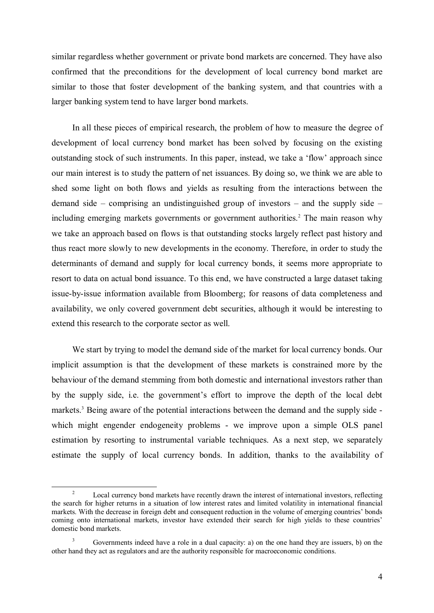similar regardless whether government or private bond markets are concerned. They have also confirmed that the preconditions for the development of local currency bond market are similar to those that foster development of the banking system, and that countries with a larger banking system tend to have larger bond markets.

In all these pieces of empirical research, the problem of how to measure the degree of development of local currency bond market has been solved by focusing on the existing outstanding stock of such instruments. In this paper, instead, we take a 'flow' approach since our main interest is to study the pattern of net issuances. By doing so, we think we are able to shed some light on both flows and yields as resulting from the interactions between the demand side – comprising an undistinguished group of investors – and the supply side – including emerging markets governments or government authorities.<sup>2</sup> The main reason why we take an approach based on flows is that outstanding stocks largely reflect past history and thus react more slowly to new developments in the economy. Therefore, in order to study the determinants of demand and supply for local currency bonds, it seems more appropriate to resort to data on actual bond issuance. To this end, we have constructed a large dataset taking issue-by-issue information available from Bloomberg; for reasons of data completeness and availability, we only covered government debt securities, although it would be interesting to extend this research to the corporate sector as well.

We start by trying to model the demand side of the market for local currency bonds. Our implicit assumption is that the development of these markets is constrained more by the behaviour of the demand stemming from both domestic and international investors rather than by the supply side, i.e. the government's effort to improve the depth of the local debt markets.<sup>3</sup> Being aware of the potential interactions between the demand and the supply side which might engender endogeneity problems - we improve upon a simple OLS panel estimation by resorting to instrumental variable techniques. As a next step, we separately estimate the supply of local currency bonds. In addition, thanks to the availability of

<sup>&</sup>lt;sup>2</sup> Local currency bond markets have recently drawn the interest of international investors, reflecting the search for higher returns in a situation of low interest rates and limited volatility in international financial markets. With the decrease in foreign debt and consequent reduction in the volume of emerging countries' bonds coming onto international markets, investor have extended their search for high yields to these countries' domestic bond markets.

<sup>&</sup>lt;sup>3</sup> Governments indeed have a role in a dual capacity: a) on the one hand they are issuers, b) on the other hand they act as regulators and are the authority responsible for macroeconomic conditions.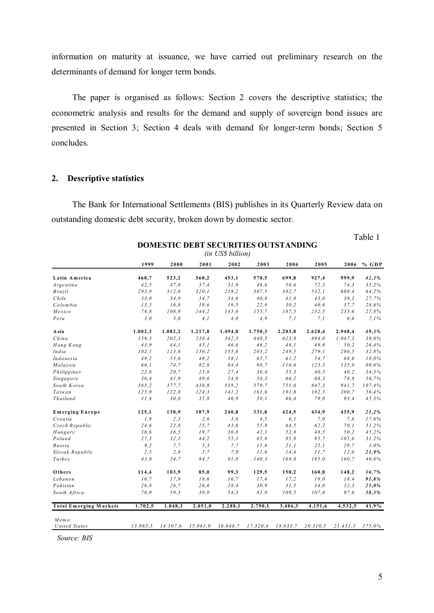information on maturity at issuance, we have carried out preliminary research on the determinants of demand for longer term bonds.

The paper is organised as follows: Section 2 covers the descriptive statistics; the econometric analysis and results for the demand and supply of sovereign bond issues are presented in Section 3; Section 4 deals with demand for longer-term bonds; Section 5 concludes.

## 2. Descriptive statistics

The Bank for International Settlements (BIS) publishes in its Quarterly Review data on outstanding domestic debt security, broken down by domestic sector.

Table 1

|                               | (in US\$ billion) |          |         |         |                                     |         |          |                      |         |
|-------------------------------|-------------------|----------|---------|---------|-------------------------------------|---------|----------|----------------------|---------|
|                               | 1999              | 2000     | 2001    | 2002    | 2003                                | 2004    | 2005     | 2006                 | $%$ GDP |
| Latin America                 | 460,7             | 523,2    | 560,2   | 453,1   | 578,5                               | 699,8   | 927,4    | 999,9                | 42,3%   |
| Argentina                     | 42,5              | 47,0     | 37.4    | 31,9    | 46.6                                | 50.6    | 72,3     | 74.3                 | 35,2%   |
| <b>Brazil</b>                 | 293,9             | 312,0    | 320,1   | 218,2   | 307,5                               | 382,7   | 532,1    | 608,4                | 64,2%   |
| Chile                         | 33,0              | 34,9     | 34,7    | 34,6    | 40, 8                               | 41,8    | 43,0     | 39,3                 | 27,7%   |
| Colombia                      | 13,5              | 16,8     | 19.6    | 19,5    | 22,9                                | 30,2    | 40,6     | 37,7                 | 28,6%   |
| Mexico                        | 74,8              | 108,9    | 144,2   | 145,0   | 155,7                               | 187,5   | 232,5    | 233,6                | 27,8%   |
| Peru                          | 3,0               | 3,6      | 4,1     | 4,0     | 4,9                                 | 7,1     | 7,1      | 6,6                  | 7.1%    |
| A sia                         | 1.002,3           | 1.082,2  | 1.217,8 | 1.494,8 | 1.750,3                             | 2.203,8 | 2.628,4  | 2.948,4              | 49,3%   |
| China                         | 159.3             | 202.3    | 238.4   | 342,3   | 448.5                               | 623.8   | 894.0    | 1.047,3              | 39.0%   |
| Hong Kong                     | 43.9              | 44.1     | 45.1    | 46.6    | 46,2                                | 48.1    | 49.8     | 50.2                 | 26,4%   |
| India                         | 102,1             | 113,6    | 130,2   | 155,8   | 203,2                               | 249,5   | 279,1    | 296,5                | 32,8%   |
| Indonesia                     | 49,2              | 53,6     | 49,2    | 58,1    | 65,7                                | 61,2    | 54,7     | 68,6                 | 18,8%   |
| Malaysia                      | 66,1              | 74,7     | 82,8    | 84,4    | 98,7                                | 110,6   | 123,5    | 135,0                | 90.6%   |
| Philippines                   | 22,8              | 20,7     | 23,8    | 27,4    | 30,4                                | 35,3    | 40,5     | 40,2                 | 34,3%   |
| Singapore                     | 36,4              | 41,9     | 49,6    | 54,0    | 58,3                                | 66,2    | 68,3     | 74.8                 | 56.7%   |
| South Korea                   | 365,2             | 377,7    | 438,8   | 538,2   | 579,7                               | 751,0   | 847,3    | 941,7                | 107,4%  |
| Taiwan                        | 125,9             | 122,8    | 124,3   | 141,2   | 161,6                               | 191.8   | 192,3    | 200.7                | 56,4%   |
| Thailand                      | 31.4              | 30.8     | 35.8    | 46.9    | 58.1                                | 66,4    | 79.0     | 93.4                 | 45,3%   |
| <b>Emerging Europe</b>        | 125,1             | 138,9    | 187,9   | 240,8   | 331,8                               | 424,5   | 434,9    | 435,9                | 21,2%   |
| Croatia                       | 1, 9              | 2, 3     | 2,6     | 3,6     | 4,5                                 | 6,1     | 7,0      | 7,6                  | 17,6%   |
| Czech Republic                | 24,6              | 22,8     | 25,7    | 43,6    | 55,9                                | 64,5    | 62,2     | 70.1                 | 51,2%   |
| Hungary                       | 16,6              | 16,5     | 19,7    | 30, 8   | 42,1                                | 52,9    | 48,5     | 50.2                 | 45,2%   |
| Poland                        | 27,3              | 32,1     | 44,2    | 55,3    | 65,8                                | 95.9    | 95.7     | 105.6                | 31,2%   |
| Russia                        | 9,2               | 7,7      | 5, 3    | 7,7     | 11,6                                | 21,1    | 25,1     | 29,7                 | 3,0%    |
| Slovak Republic               | 2, 5              | 2,9      | 5,7     | 7,9     | 11,6                                | 14,4    | 11.7     | 12,0                 | 21,9%   |
| Turkey                        | 43,0              | 54.7     | 84,7    | 91.8    | 140.3                               | 169.8   | 185.0    | 160.7                | 40,8%   |
| Others                        | 114,4             | 103,9    | 85,0    | 99,3    | 129,5                               | 158,2   | 160,8    | 148,2                | 36,7%   |
| Lebanon                       | 16,7              | 17,9     | 18,6    | 16,7    | 17,6                                | 17,2    | 19,0     | 18,4                 | 91,8%   |
| Pakistan                      | 26,8              | 26.7     | 26.6    | 28,4    | 30,9                                | 31,5    | 34.0     | 32.3                 | 25,0%   |
| South Africa                  | 70.9              | 59.3     | 39.9    | 54,3    | 81,0                                | 109.5   | 107,8    | 97.6                 | 38,3%   |
| <b>Total Emerging Markets</b> | 1.702,5           | 1.848,3  | 2.051,0 | 2.288,1 | 2.790,1                             | 3.486,3 | 4.151,6  | 4.532,5              | 41,9%   |
| Memo:<br><b>United States</b> | 13.865.5          | 14.307,6 |         |         | 15.061,9 16.048,7 17.320,4 18.833,7 |         | 20.310,5 | $21.431,1$ $175.0\%$ |         |
|                               |                   |          |         |         |                                     |         |          |                      |         |

# DOMESTIC DEBT SECURITIES OUTSTANDING

Source: BIS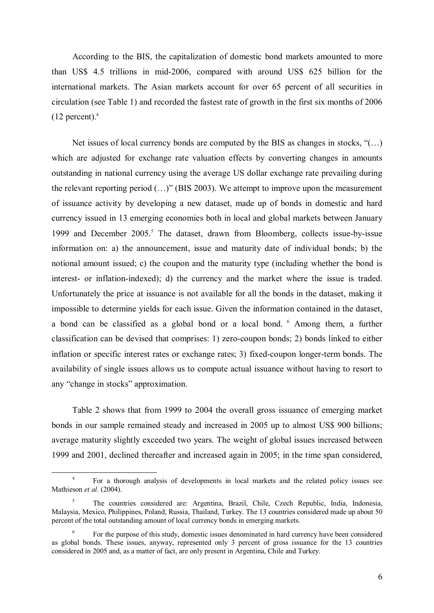According to the BIS, the capitalization of domestic bond markets amounted to more than US\$ 4.5 trillions in mid-2006, compared with around US\$ 625 billion for the international markets. The Asian markets account for over 65 percent of all securities in circulation (see Table 1) and recorded the fastest rate of growth in the first six months of 2006  $(12$  percent).<sup>4</sup>

Net issues of local currency bonds are computed by the BIS as changes in stocks,  $((...)$ which are adjusted for exchange rate valuation effects by converting changes in amounts outstanding in national currency using the average US dollar exchange rate prevailing during the relevant reporting period (…)" (BIS 2003). We attempt to improve upon the measurement of issuance activity by developing a new dataset, made up of bonds in domestic and hard currency issued in 13 emerging economies both in local and global markets between January 1999 and December 2005.<sup>5</sup> The dataset, drawn from Bloomberg, collects issue-by-issue information on: a) the announcement, issue and maturity date of individual bonds; b) the notional amount issued; c) the coupon and the maturity type (including whether the bond is interest- or inflation-indexed); d) the currency and the market where the issue is traded. Unfortunately the price at issuance is not available for all the bonds in the dataset, making it impossible to determine yields for each issue. Given the information contained in the dataset, a bond can be classified as a global bond or a local bond.<sup>6</sup> Among them, a further classification can be devised that comprises: 1) zero-coupon bonds; 2) bonds linked to either inflation or specific interest rates or exchange rates; 3) fixed-coupon longer-term bonds. The availability of single issues allows us to compute actual issuance without having to resort to any "change in stocks" approximation.

Table 2 shows that from 1999 to 2004 the overall gross issuance of emerging market bonds in our sample remained steady and increased in 2005 up to almost US\$ 900 billions; average maturity slightly exceeded two years. The weight of global issues increased between 1999 and 2001, declined thereafter and increased again in 2005; in the time span considered,

<sup>4</sup> For a thorough analysis of developments in local markets and the related policy issues see Mathieson et al. (2004).

<sup>5</sup> The countries considered are: Argentina, Brazil, Chile, Czech Republic, India, Indonesia, Malaysia, Mexico, Philippines, Poland, Russia, Thailand, Turkey. The 13 countries considered made up about 50 percent of the total outstanding amount of local currency bonds in emerging markets.

<sup>6</sup> For the purpose of this study, domestic issues denominated in hard currency have been considered as global bonds. These issues, anyway, represented only 3 percent of gross issuance for the 13 countries considered in 2005 and, as a matter of fact, are only present in Argentina, Chile and Turkey.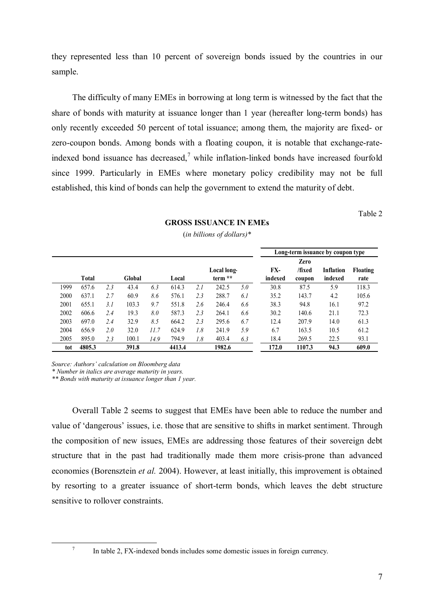they represented less than 10 percent of sovereign bonds issued by the countries in our sample.

The difficulty of many EMEs in borrowing at long term is witnessed by the fact that the share of bonds with maturity at issuance longer than 1 year (hereafter long-term bonds) has only recently exceeded 50 percent of total issuance; among them, the majority are fixed- or zero-coupon bonds. Among bonds with a floating coupon, it is notable that exchange-rateindexed bond issuance has decreased,<sup>7</sup> while inflation-linked bonds have increased fourfold since 1999. Particularly in EMEs where monetary policy credibility may not be full established, this kind of bonds can help the government to extend the maturity of debt.

Table 2

|      |              |      |        |      |        |     |             |     |         |        | Long-term issuance by coupon type |                 |
|------|--------------|------|--------|------|--------|-----|-------------|-----|---------|--------|-----------------------------------|-----------------|
|      |              |      |        |      |        |     |             |     |         | Zero   |                                   |                 |
|      |              |      |        |      |        |     | Local long- |     | FX-     | /fixed | <b>Inflation</b>                  | <b>Floating</b> |
|      | <b>Total</b> |      | Global |      | Local  |     | term **     |     | indexed | coupon | indexed                           | rate            |
| 1999 | 657.6        | 2.3  | 43.4   | 6.3  | 614.3  | 2.1 | 242.5       | 5.0 | 30.8    | 87.5   | 5.9                               | 118.3           |
| 2000 | 637.1        | 2.7  | 60.9   | 8.6  | 576.1  | 2.3 | 288.7       | 6.1 | 35.2    | 143.7  | 4.2                               | 105.6           |
| 2001 | 655.1        | 3. I | 103.3  | 9.7  | 551.8  | 2.6 | 246.4       | 6.6 | 38.3    | 94.8   | 16.1                              | 97.2            |
| 2002 | 606.6        | 2.4  | 19.3   | 8.0  | 587.3  | 2.3 | 264.1       | 6.6 | 30.2    | 140.6  | 21.1                              | 72.3            |
| 2003 | 697.0        | 2.4  | 32.9   | 8.5  | 664.2  | 2.3 | 295.6       | 6.7 | 12.4    | 207.9  | 14.0                              | 61.3            |
| 2004 | 656.9        | 2.0  | 32.0   | 11.7 | 624.9  | 1.8 | 241.9       | 5.9 | 6.7     | 163.5  | 10.5                              | 61.2            |
| 2005 | 895.0        | 2.3  | 100.1  | 14.9 | 794.9  | 1.8 | 403.4       | 6.3 | 18.4    | 269.5  | 22.5                              | 93.1            |
| tot  | 4805.3       |      | 391.8  |      | 4413.4 |     | 1982.6      |     | 172.0   | 1107.3 | 94.3                              | 609.0           |

## GROSS ISSUANCE IN EMEs (in billions of dollars)\*

Source: Authors' calculation on Bloomberg data

\* Number in italics are average maturity in years.

\*\* Bonds with maturity at issuance longer than 1 year.

Overall Table 2 seems to suggest that EMEs have been able to reduce the number and value of 'dangerous' issues, i.e. those that are sensitive to shifts in market sentiment. Through the composition of new issues, EMEs are addressing those features of their sovereign debt structure that in the past had traditionally made them more crisis-prone than advanced economies (Borensztein et al. 2004). However, at least initially, this improvement is obtained by resorting to a greater issuance of short-term bonds, which leaves the debt structure sensitive to rollover constraints.

7

In table 2, FX-indexed bonds includes some domestic issues in foreign currency.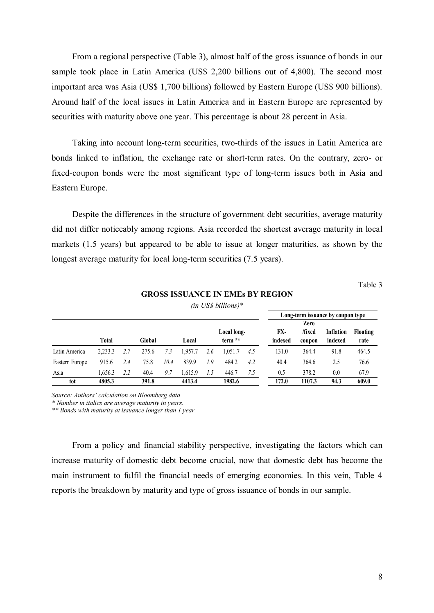From a regional perspective (Table 3), almost half of the gross issuance of bonds in our sample took place in Latin America (US\$ 2,200 billions out of 4,800). The second most important area was Asia (US\$ 1,700 billions) followed by Eastern Europe (US\$ 900 billions). Around half of the local issues in Latin America and in Eastern Europe are represented by securities with maturity above one year. This percentage is about 28 percent in Asia.

Taking into account long-term securities, two-thirds of the issues in Latin America are bonds linked to inflation, the exchange rate or short-term rates. On the contrary, zero- or fixed-coupon bonds were the most significant type of long-term issues both in Asia and Eastern Europe.

Despite the differences in the structure of government debt securities, average maturity did not differ noticeably among regions. Asia recorded the shortest average maturity in local markets (1.5 years) but appeared to be able to issue at longer maturities, as shown by the longest average maturity for local long-term securities (7.5 years).

Table 3

## GROSS ISSUANCE IN EMEs BY REGION

|                |              |     |        |      |         |     |             |     | Long-term issuance by coupon type |        |           |          |
|----------------|--------------|-----|--------|------|---------|-----|-------------|-----|-----------------------------------|--------|-----------|----------|
|                |              |     |        |      |         |     |             |     |                                   | Zero   |           |          |
|                |              |     |        |      |         |     | Local long- |     | FX-                               | /fixed | Inflation | Floating |
|                | <b>Total</b> |     | Global |      | Local   |     | term **     |     | indexed                           | coupon | indexed   | rate     |
| Latin America  | 2.233.3      | 2.7 | 275.6  | 7.3  | 1.957.7 | 2.6 | 1.051.7     | 4.5 | 131.0                             | 364.4  | 91.8      | 464.5    |
| Eastern Europe | 915.6        | 2.4 | 75.8   | 10.4 | 839.9   | 1.9 | 484.2       | 4.2 | 40.4                              | 364.6  | 2.5       | 76.6     |
| Asia           | 1.656.3      | 2.2 | 40.4   | 9.7  | 1.615.9 | 1.5 | 446.7       | 7.5 | 0.5                               | 378.2  | 0.0       | 67.9     |
| tot            | 4805.3       |     | 391.8  |      | 4413.4  |     | 1982.6      |     | 172.0                             | 1107.3 | 94.3      | 609.0    |

(in US\$ billions)\*

Source: Authors' calculation on Bloomberg data

\* Number in italics are average maturity in years.

\*\* Bonds with maturity at issuance longer than 1 year.

From a policy and financial stability perspective, investigating the factors which can increase maturity of domestic debt become crucial, now that domestic debt has become the main instrument to fulfil the financial needs of emerging economies. In this vein, Table 4 reports the breakdown by maturity and type of gross issuance of bonds in our sample.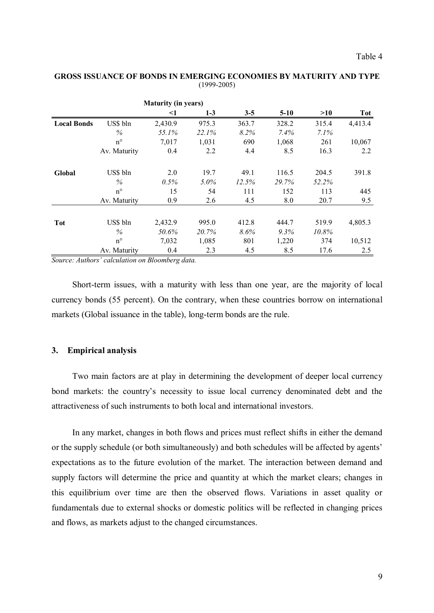|                    |              | <b>Maturity (in years)</b> |          |         |        |         |         |
|--------------------|--------------|----------------------------|----------|---------|--------|---------|---------|
|                    |              | <1                         | $1 - 3$  | $3 - 5$ | $5-10$ | >10     | Tot     |
| <b>Local Bonds</b> | US\$ bln     | 2,430.9                    | 975.3    | 363.7   | 328.2  | 315.4   | 4,413.4 |
|                    | $\%$         | 55.1%                      | $22.1\%$ | 8.2%    | 7.4%   | $7.1\%$ |         |
|                    | $n^{\circ}$  | 7,017                      | 1,031    | 690     | 1,068  | 261     | 10,067  |
|                    | Av. Maturity | 0.4                        | 2.2      | 4.4     | 8.5    | 16.3    | 2.2     |
| Global             | US\$ bln     | 2.0                        | 19.7     | 49.1    | 116.5  | 204.5   | 391.8   |
|                    | $\%$         | 0.5%                       | $5.0\%$  | 12.5%   | 29.7%  | 52.2%   |         |
|                    | $n^{\circ}$  | 15                         | 54       | 111     | 152    | 113     | 445     |
|                    | Av. Maturity | 0.9                        | 2.6      | 4.5     | 8.0    | 20.7    | 9.5     |
|                    |              |                            |          |         |        |         |         |
| <b>Tot</b>         | US\$ bln     | 2,432.9                    | 995.0    | 412.8   | 444.7  | 519.9   | 4,805.3 |
|                    | $\%$         | 50.6%                      | 20.7%    | $8.6\%$ | 9.3%   | 10.8%   |         |
|                    | $n^{\circ}$  | 7,032                      | 1,085    | 801     | 1,220  | 374     | 10,512  |
|                    | Av. Maturity | 0.4                        | 2.3      | 4.5     | 8.5    | 17.6    | 2.5     |

## GROSS ISSUANCE OF BONDS IN EMERGING ECONOMIES BY MATURITY AND TYPE (1999-2005)

Source: Authors' calculation on Bloomberg data.

Short-term issues, with a maturity with less than one year, are the majority of local currency bonds (55 percent). On the contrary, when these countries borrow on international markets (Global issuance in the table), long-term bonds are the rule.

## 3. Empirical analysis

Two main factors are at play in determining the development of deeper local currency bond markets: the country's necessity to issue local currency denominated debt and the attractiveness of such instruments to both local and international investors.

In any market, changes in both flows and prices must reflect shifts in either the demand or the supply schedule (or both simultaneously) and both schedules will be affected by agents' expectations as to the future evolution of the market. The interaction between demand and supply factors will determine the price and quantity at which the market clears; changes in this equilibrium over time are then the observed flows. Variations in asset quality or fundamentals due to external shocks or domestic politics will be reflected in changing prices and flows, as markets adjust to the changed circumstances.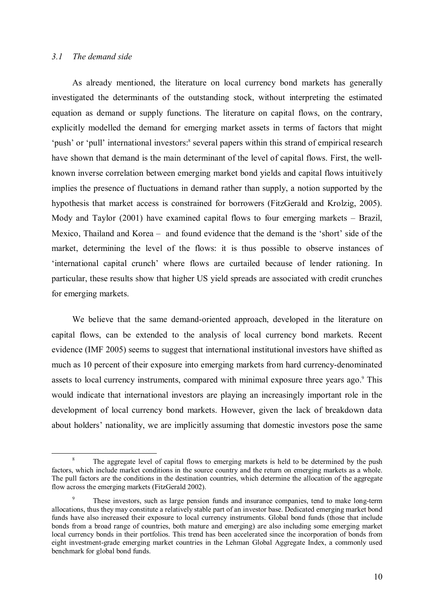## 3.1 The demand side

 $\overline{a}$ 

As already mentioned, the literature on local currency bond markets has generally investigated the determinants of the outstanding stock, without interpreting the estimated equation as demand or supply functions. The literature on capital flows, on the contrary, explicitly modelled the demand for emerging market assets in terms of factors that might 'push' or 'pull' international investors:<sup>8</sup> several papers within this strand of empirical research have shown that demand is the main determinant of the level of capital flows. First, the wellknown inverse correlation between emerging market bond yields and capital flows intuitively implies the presence of fluctuations in demand rather than supply, a notion supported by the hypothesis that market access is constrained for borrowers (FitzGerald and Krolzig, 2005). Mody and Taylor (2001) have examined capital flows to four emerging markets – Brazil, Mexico, Thailand and Korea – and found evidence that the demand is the 'short' side of the market, determining the level of the flows: it is thus possible to observe instances of 'international capital crunch' where flows are curtailed because of lender rationing. In particular, these results show that higher US yield spreads are associated with credit crunches for emerging markets.

We believe that the same demand-oriented approach, developed in the literature on capital flows, can be extended to the analysis of local currency bond markets. Recent evidence (IMF 2005) seems to suggest that international institutional investors have shifted as much as 10 percent of their exposure into emerging markets from hard currency-denominated assets to local currency instruments, compared with minimal exposure three years ago.<sup>9</sup> This would indicate that international investors are playing an increasingly important role in the development of local currency bond markets. However, given the lack of breakdown data about holders' nationality, we are implicitly assuming that domestic investors pose the same

<sup>&</sup>lt;sup>8</sup> The aggregate level of capital flows to emerging markets is held to be determined by the push factors, which include market conditions in the source country and the return on emerging markets as a whole. The pull factors are the conditions in the destination countries, which determine the allocation of the aggregate flow across the emerging markets (FitzGerald 2002).

These investors, such as large pension funds and insurance companies, tend to make long-term allocations, thus they may constitute a relatively stable part of an investor base. Dedicated emerging market bond funds have also increased their exposure to local currency instruments. Global bond funds (those that include bonds from a broad range of countries, both mature and emerging) are also including some emerging market local currency bonds in their portfolios. This trend has been accelerated since the incorporation of bonds from eight investment-grade emerging market countries in the Lehman Global Aggregate Index, a commonly used benchmark for global bond funds.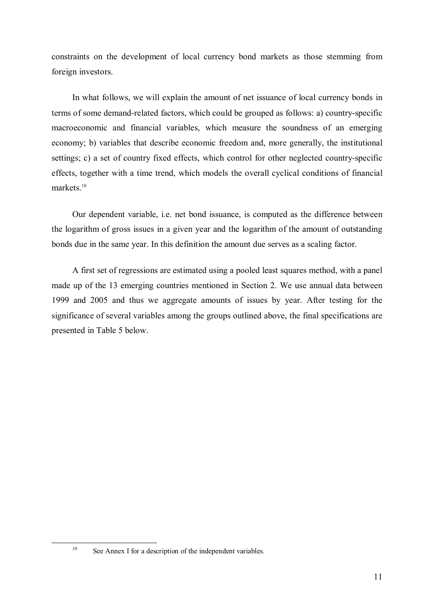constraints on the development of local currency bond markets as those stemming from foreign investors.

In what follows, we will explain the amount of net issuance of local currency bonds in terms of some demand-related factors, which could be grouped as follows: a) country-specific macroeconomic and financial variables, which measure the soundness of an emerging economy; b) variables that describe economic freedom and, more generally, the institutional settings; c) a set of country fixed effects, which control for other neglected country-specific effects, together with a time trend, which models the overall cyclical conditions of financial markets.<sup>10</sup>

Our dependent variable, i.e. net bond issuance, is computed as the difference between the logarithm of gross issues in a given year and the logarithm of the amount of outstanding bonds due in the same year. In this definition the amount due serves as a scaling factor.

A first set of regressions are estimated using a pooled least squares method, with a panel made up of the 13 emerging countries mentioned in Section 2. We use annual data between 1999 and 2005 and thus we aggregate amounts of issues by year. After testing for the significance of several variables among the groups outlined above, the final specifications are presented in Table 5 below.

<sup>&</sup>lt;sup>10</sup> See Annex I for a description of the independent variables.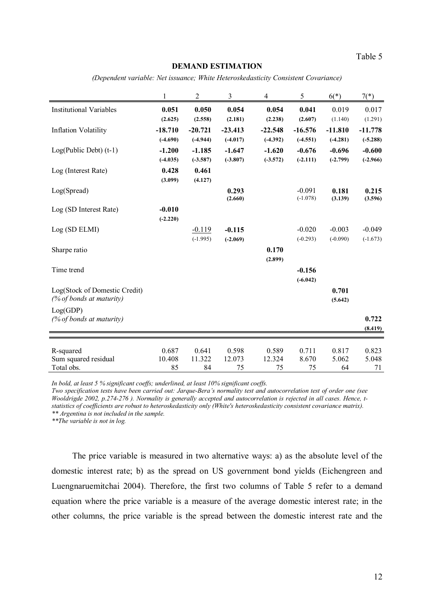Table 5

#### DEMAND ESTIMATION

(Dependent variable: Net issuance; White Heteroskedasticity Consistent Covariance)

|                                | 1          | $\overline{2}$ | 3          | 4          | 5          | $6(*)$     | $7(*)$     |
|--------------------------------|------------|----------------|------------|------------|------------|------------|------------|
| <b>Institutional Variables</b> | 0.051      | 0.050          | 0.054      | 0.054      | 0.041      | 0.019      | 0.017      |
|                                | (2.625)    | (2.558)        | (2.181)    | (2.238)    | (2.607)    | (1.140)    | (1.291)    |
| <b>Inflation Volatility</b>    | $-18.710$  | $-20.721$      | $-23.413$  | $-22.548$  | $-16.576$  | $-11.810$  | $-11.778$  |
|                                | $(-4.690)$ | $(-4.944)$     | $(-4.017)$ | $(-4.392)$ | $(-4.551)$ | $(-4.281)$ | $(-5.288)$ |
| $Log(Public Det)$ (t-1)        | $-1.200$   | $-1.185$       | $-1.647$   | $-1.620$   | $-0.676$   | $-0.696$   | $-0.600$   |
|                                | $(-4.035)$ | $(-3.587)$     | $(-3.807)$ | $(-3.572)$ | $(-2.111)$ | $(-2.799)$ | $(-2.966)$ |
| Log (Interest Rate)            | 0.428      | 0.461          |            |            |            |            |            |
|                                | (3.099)    | (4.127)        |            |            |            |            |            |
| Log(Spread)                    |            |                | 0.293      |            | $-0.091$   | 0.181      | 0.215      |
|                                |            |                | (2.660)    |            | $(-1.078)$ | (3.139)    | (3.596)    |
| Log (SD Interest Rate)         | $-0.010$   |                |            |            |            |            |            |
|                                | $(-2.220)$ |                |            |            |            |            |            |
| Log (SD ELMI)                  |            | $-0.119$       | $-0.115$   |            | $-0.020$   | $-0.003$   | $-0.049$   |
|                                |            | $(-1.995)$     | $(-2.069)$ |            | $(-0.293)$ | $(-0.090)$ | $(-1.673)$ |
| Sharpe ratio                   |            |                |            | 0.170      |            |            |            |
|                                |            |                |            | (2.899)    |            |            |            |
| Time trend                     |            |                |            |            | $-0.156$   |            |            |
|                                |            |                |            |            | $(-6.042)$ |            |            |
| Log(Stock of Domestic Credit)  |            |                |            |            |            | 0.701      |            |
| (% of bonds at maturity)       |            |                |            |            |            | (5.642)    |            |
| Log(GDP)                       |            |                |            |            |            |            |            |
| (% of bonds at maturity)       |            |                |            |            |            |            | 0.722      |
|                                |            |                |            |            |            |            | (8.419)    |
|                                |            |                |            |            |            |            |            |
| R-squared                      | 0.687      | 0.641          | 0.598      | 0.589      | 0.711      | 0.817      | 0.823      |
| Sum squared residual           | 10.408     | 11.322         | 12.073     | 12.324     | 8.670      | 5.062      | 5.048      |
| Total obs.                     | 85         | 84             | 75         | 75         | 75         | 64         | 71         |

In bold, at least 5 % significant coeffs; underlined, at least 10% significant coeffs.

Two specification tests have been carried out: Jarque-Bera's normality test and autocorrelation test of order one (see Wooldrigde 2002, p.274-276 ). Normality is generally accepted and autocorrelation is rejected in all cases. Hence, tstatistics of coefficients are robust to heteroskedasticity only (White's heteroskedasticity consistent covariance matrix). \*\* Argentina is not included in the sample.

\*\*The variable is not in log.

The price variable is measured in two alternative ways: a) as the absolute level of the domestic interest rate; b) as the spread on US government bond yields (Eichengreen and Luengnaruemitchai 2004). Therefore, the first two columns of Table 5 refer to a demand equation where the price variable is a measure of the average domestic interest rate; in the other columns, the price variable is the spread between the domestic interest rate and the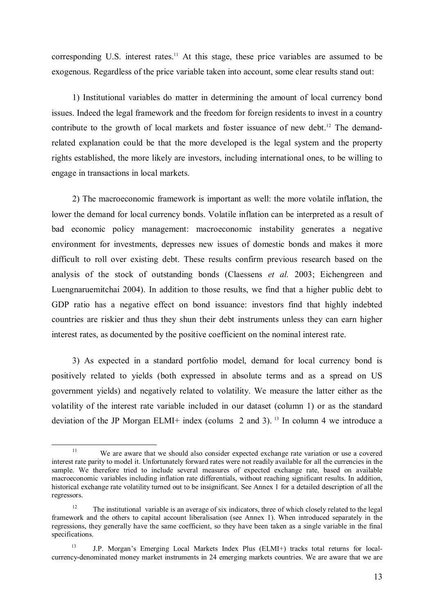corresponding U.S. interest rates.<sup>11</sup> At this stage, these price variables are assumed to be exogenous. Regardless of the price variable taken into account, some clear results stand out:

1) Institutional variables do matter in determining the amount of local currency bond issues. Indeed the legal framework and the freedom for foreign residents to invest in a country contribute to the growth of local markets and foster issuance of new debt.<sup>12</sup> The demandrelated explanation could be that the more developed is the legal system and the property rights established, the more likely are investors, including international ones, to be willing to engage in transactions in local markets.

2) The macroeconomic framework is important as well: the more volatile inflation, the lower the demand for local currency bonds. Volatile inflation can be interpreted as a result of bad economic policy management: macroeconomic instability generates a negative environment for investments, depresses new issues of domestic bonds and makes it more difficult to roll over existing debt. These results confirm previous research based on the analysis of the stock of outstanding bonds (Claessens et al. 2003; Eichengreen and Luengnaruemitchai 2004). In addition to those results, we find that a higher public debt to GDP ratio has a negative effect on bond issuance: investors find that highly indebted countries are riskier and thus they shun their debt instruments unless they can earn higher interest rates, as documented by the positive coefficient on the nominal interest rate.

3) As expected in a standard portfolio model, demand for local currency bond is positively related to yields (both expressed in absolute terms and as a spread on US government yields) and negatively related to volatility. We measure the latter either as the volatility of the interest rate variable included in our dataset (column 1) or as the standard deviation of the JP Morgan ELMI+ index (colums 2 and 3).<sup>13</sup> In column 4 we introduce a

<sup>&</sup>lt;sup>11</sup> We are aware that we should also consider expected exchange rate variation or use a covered interest rate parity to model it. Unfortunately forward rates were not readily available for all the currencies in the sample. We therefore tried to include several measures of expected exchange rate, based on available macroeconomic variables including inflation rate differentials, without reaching significant results. In addition, historical exchange rate volatility turned out to be insignificant. See Annex 1 for a detailed description of all the regressors.

<sup>&</sup>lt;sup>12</sup> The institutional variable is an average of six indicators, three of which closely related to the legal framework and the others to capital account liberalisation (see Annex 1). When introduced separately in the regressions, they generally have the same coefficient, so they have been taken as a single variable in the final specifications.

<sup>13</sup> J.P. Morgan's Emerging Local Markets Index Plus (ELMI+) tracks total returns for localcurrency-denominated money market instruments in 24 emerging markets countries. We are aware that we are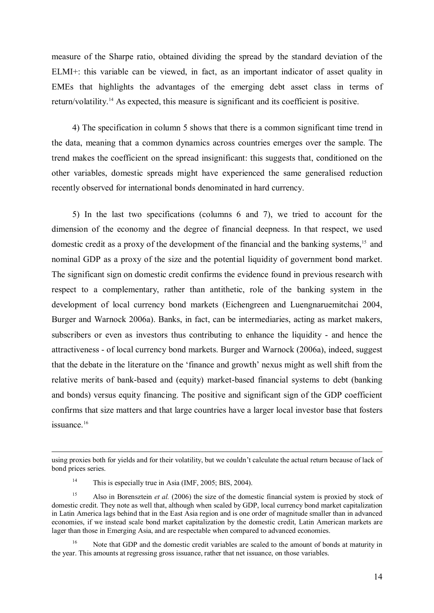measure of the Sharpe ratio, obtained dividing the spread by the standard deviation of the ELMI+: this variable can be viewed, in fact, as an important indicator of asset quality in EMEs that highlights the advantages of the emerging debt asset class in terms of return/volatility.<sup>14</sup> As expected, this measure is significant and its coefficient is positive.

4) The specification in column 5 shows that there is a common significant time trend in the data, meaning that a common dynamics across countries emerges over the sample. The trend makes the coefficient on the spread insignificant: this suggests that, conditioned on the other variables, domestic spreads might have experienced the same generalised reduction recently observed for international bonds denominated in hard currency.

5) In the last two specifications (columns 6 and 7), we tried to account for the dimension of the economy and the degree of financial deepness. In that respect, we used domestic credit as a proxy of the development of the financial and the banking systems,<sup>15</sup> and nominal GDP as a proxy of the size and the potential liquidity of government bond market. The significant sign on domestic credit confirms the evidence found in previous research with respect to a complementary, rather than antithetic, role of the banking system in the development of local currency bond markets (Eichengreen and Luengnaruemitchai 2004, Burger and Warnock 2006a). Banks, in fact, can be intermediaries, acting as market makers, subscribers or even as investors thus contributing to enhance the liquidity - and hence the attractiveness - of local currency bond markets. Burger and Warnock (2006a), indeed, suggest that the debate in the literature on the 'finance and growth' nexus might as well shift from the relative merits of bank-based and (equity) market-based financial systems to debt (banking and bonds) versus equity financing. The positive and significant sign of the GDP coefficient confirms that size matters and that large countries have a larger local investor base that fosters issuance.<sup>16</sup>

<u>.</u>

<sup>16</sup> Note that GDP and the domestic credit variables are scaled to the amount of bonds at maturity in the year. This amounts at regressing gross issuance, rather that net issuance, on those variables.

using proxies both for yields and for their volatility, but we couldn't calculate the actual return because of lack of bond prices series.

<sup>&</sup>lt;sup>14</sup> This is especially true in Asia (IMF, 2005; BIS, 2004).

<sup>&</sup>lt;sup>15</sup> Also in Borensztein *et al.* (2006) the size of the domestic financial system is proxied by stock of domestic credit. They note as well that, although when scaled by GDP, local currency bond market capitalization in Latin America lags behind that in the East Asia region and is one order of magnitude smaller than in advanced economies, if we instead scale bond market capitalization by the domestic credit, Latin American markets are lager than those in Emerging Asia, and are respectable when compared to advanced economies.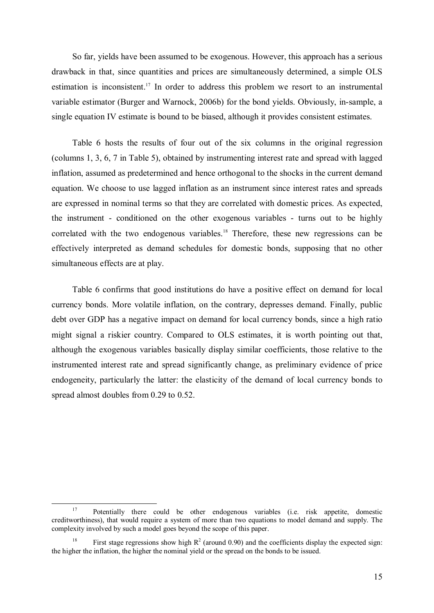So far, yields have been assumed to be exogenous. However, this approach has a serious drawback in that, since quantities and prices are simultaneously determined, a simple OLS estimation is inconsistent.<sup>17</sup> In order to address this problem we resort to an instrumental variable estimator (Burger and Warnock, 2006b) for the bond yields. Obviously, in-sample, a single equation IV estimate is bound to be biased, although it provides consistent estimates.

Table 6 hosts the results of four out of the six columns in the original regression (columns 1, 3, 6, 7 in Table 5), obtained by instrumenting interest rate and spread with lagged inflation, assumed as predetermined and hence orthogonal to the shocks in the current demand equation. We choose to use lagged inflation as an instrument since interest rates and spreads are expressed in nominal terms so that they are correlated with domestic prices. As expected, the instrument - conditioned on the other exogenous variables - turns out to be highly correlated with the two endogenous variables.<sup>18</sup> Therefore, these new regressions can be effectively interpreted as demand schedules for domestic bonds, supposing that no other simultaneous effects are at play.

Table 6 confirms that good institutions do have a positive effect on demand for local currency bonds. More volatile inflation, on the contrary, depresses demand. Finally, public debt over GDP has a negative impact on demand for local currency bonds, since a high ratio might signal a riskier country. Compared to OLS estimates, it is worth pointing out that, although the exogenous variables basically display similar coefficients, those relative to the instrumented interest rate and spread significantly change, as preliminary evidence of price endogeneity, particularly the latter: the elasticity of the demand of local currency bonds to spread almost doubles from 0.29 to 0.52.

<sup>&</sup>lt;sup>17</sup> Potentially there could be other endogenous variables (i.e. risk appetite, domestic creditworthiness), that would require a system of more than two equations to model demand and supply. The complexity involved by such a model goes beyond the scope of this paper.

<sup>&</sup>lt;sup>18</sup> First stage regressions show high  $R^2$  (around 0.90) and the coefficients display the expected sign: the higher the inflation, the higher the nominal yield or the spread on the bonds to be issued.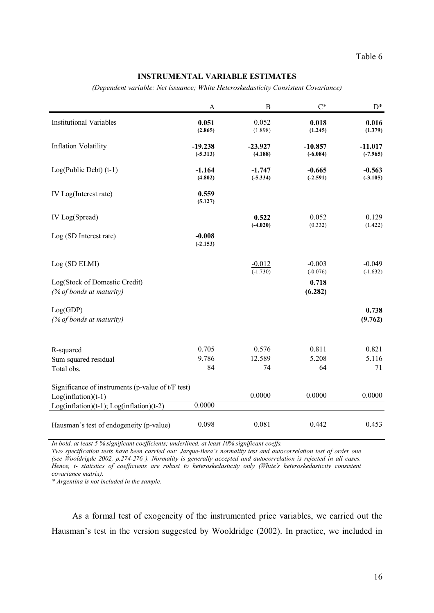## INSTRUMENTAL VARIABLE ESTIMATES

(Dependent variable: Net issuance; White Heteroskedasticity Consistent Covariance)

|                                                                              | A                       | $\bf{B}$               | $C^*$                   | $\mathrm{D}^*$          |
|------------------------------------------------------------------------------|-------------------------|------------------------|-------------------------|-------------------------|
| <b>Institutional Variables</b>                                               | 0.051<br>(2.865)        | 0.052<br>(1.898)       | 0.018<br>(1.245)        | 0.016<br>(1.379)        |
| <b>Inflation Volatility</b>                                                  | $-19.238$<br>$(-5.313)$ | $-23.927$<br>(4.188)   | $-10.857$<br>$(-6.084)$ | $-11.017$<br>$(-7.965)$ |
| $Log(Public Det)$ (t-1)                                                      | $-1.164$<br>(4.802)     | $-1.747$<br>$(-5.334)$ | $-0.665$<br>$(-2.591)$  | $-0.563$<br>$(-3.105)$  |
| IV Log(Interest rate)                                                        | 0.559<br>(5.127)        |                        |                         |                         |
| IV Log(Spread)                                                               |                         | 0.522<br>$(-4.020)$    | 0.052<br>(0.332)        | 0.129<br>(1.422)        |
| Log (SD Interest rate)                                                       | $-0.008$<br>$(-2.153)$  |                        |                         |                         |
| Log (SD ELMI)                                                                |                         | $-0.012$<br>$(-1.730)$ | $-0.003$<br>$(-0.076)$  | $-0.049$<br>$(-1.632)$  |
| Log(Stock of Domestic Credit)<br>(% of bonds at maturity)                    |                         |                        | 0.718<br>(6.282)        |                         |
| Log(GDP)<br>(% of bonds at maturity)                                         |                         |                        |                         | 0.738<br>(9.762)        |
| R-squared                                                                    | 0.705                   | 0.576                  | 0.811                   | 0.821                   |
| Sum squared residual<br>Total obs.                                           | 9.786<br>84             | 12.589<br>74           | 5.208<br>64             | 5.116<br>71             |
|                                                                              |                         |                        |                         |                         |
| Significance of instruments (p-value of $t/F$ test)<br>$Log(inflation)(t-1)$ |                         | 0.0000                 | 0.0000                  | 0.0000                  |
| $Log(inflation)(t-1); Log(inflation)(t-2)$                                   | 0.0000                  |                        |                         |                         |
| Hausman's test of endogeneity (p-value)                                      | 0.098                   | 0.081                  | 0.442                   | 0.453                   |

In bold, at least 5 % significant coefficients; underlined, at least 10% significant coeffs.

Two specification tests have been carried out: Jarque-Bera's normality test and autocorrelation test of order one (see Wooldrigde 2002, p.274-276 ). Normality is generally accepted and autocorrelation is rejected in all cases. Hence, t- statistics of coefficients are robust to heteroskedasticity only (White's heteroskedasticity consistent covariance matrix).

\* Argentina is not included in the sample.

As a formal test of exogeneity of the instrumented price variables, we carried out the Hausman's test in the version suggested by Wooldridge (2002). In practice, we included in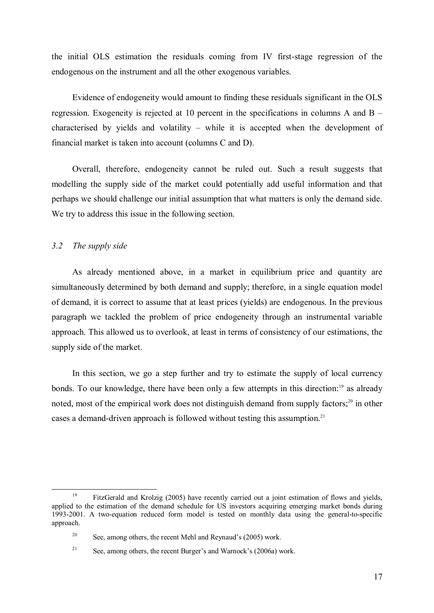the initial OLS estimation the residuals coming from IV first-stage regression of the endogenous on the instrument and all the other exogenous variables.

Evidence of endogeneity would amount to finding these residuals significant in the OLS regression. Exogeneity is rejected at 10 percent in the specifications in columns A and B – characterised by yields and volatility – while it is accepted when the development of financial market is taken into account (columns C and D).

Overall, therefore, endogeneity cannot be ruled out. Such a result suggests that modelling the supply side of the market could potentially add useful information and that perhaps we should challenge our initial assumption that what matters is only the demand side. We try to address this issue in the following section.

## 3.2 The supply side

 $\overline{a}$ 

As already mentioned above, in a market in equilibrium price and quantity are simultaneously determined by both demand and supply; therefore, in a single equation model of demand, it is correct to assume that at least prices (yields) are endogenous. In the previous paragraph we tackled the problem of price endogeneity through an instrumental variable approach. This allowed us to overlook, at least in terms of consistency of our estimations, the supply side of the market.

In this section, we go a step further and try to estimate the supply of local currency bonds. To our knowledge, there have been only a few attempts in this direction:<sup>19</sup> as already noted, most of the empirical work does not distinguish demand from supply factors;<sup>20</sup> in other cases a demand-driven approach is followed without testing this assumption.<sup>21</sup>

<sup>&</sup>lt;sup>19</sup> FitzGerald and Krolzig (2005) have recently carried out a joint estimation of flows and yields, applied to the estimation of the demand schedule for US investors acquiring emerging market bonds during 1993-2001. A two-equation reduced form model is tested on monthly data using the general-to-specific approach.

<sup>&</sup>lt;sup>20</sup> See, among others, the recent Mehl and Reynaud's (2005) work.

<sup>&</sup>lt;sup>21</sup> See, among others, the recent Burger's and Warnock's (2006a) work.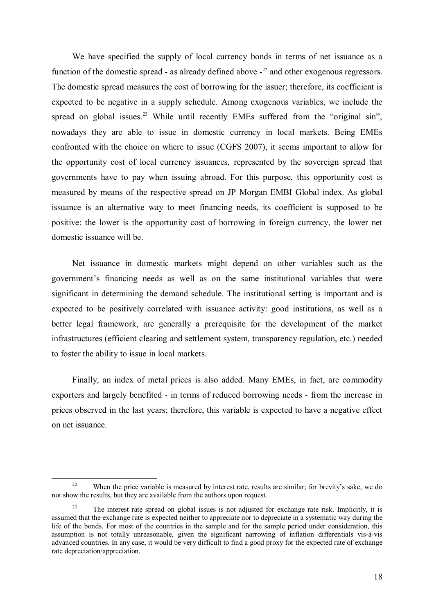We have specified the supply of local currency bonds in terms of net issuance as a function of the domestic spread - as already defined above  $-2$ <sup>22</sup> and other exogenous regressors. The domestic spread measures the cost of borrowing for the issuer; therefore, its coefficient is expected to be negative in a supply schedule. Among exogenous variables, we include the spread on global issues.<sup>23</sup> While until recently EMEs suffered from the "original sin", nowadays they are able to issue in domestic currency in local markets. Being EMEs confronted with the choice on where to issue (CGFS 2007), it seems important to allow for the opportunity cost of local currency issuances, represented by the sovereign spread that governments have to pay when issuing abroad. For this purpose, this opportunity cost is measured by means of the respective spread on JP Morgan EMBI Global index. As global issuance is an alternative way to meet financing needs, its coefficient is supposed to be positive: the lower is the opportunity cost of borrowing in foreign currency, the lower net domestic issuance will be.

Net issuance in domestic markets might depend on other variables such as the government's financing needs as well as on the same institutional variables that were significant in determining the demand schedule. The institutional setting is important and is expected to be positively correlated with issuance activity: good institutions, as well as a better legal framework, are generally a prerequisite for the development of the market infrastructures (efficient clearing and settlement system, transparency regulation, etc.) needed to foster the ability to issue in local markets.

Finally, an index of metal prices is also added. Many EMEs, in fact, are commodity exporters and largely benefited - in terms of reduced borrowing needs - from the increase in prices observed in the last years; therefore, this variable is expected to have a negative effect on net issuance.

<sup>&</sup>lt;sup>22</sup> When the price variable is measured by interest rate, results are similar; for brevity's sake, we do not show the results, but they are available from the authors upon request.

The interest rate spread on global issues is not adjusted for exchange rate risk. Implicitly, it is assumed that the exchange rate is expected neither to appreciate nor to depreciate in a systematic way during the life of the bonds. For most of the countries in the sample and for the sample period under consideration, this assumption is not totally unreasonable, given the significant narrowing of inflation differentials vis-à-vis advanced countries. In any case, it would be very difficult to find a good proxy for the expected rate of exchange rate depreciation/appreciation.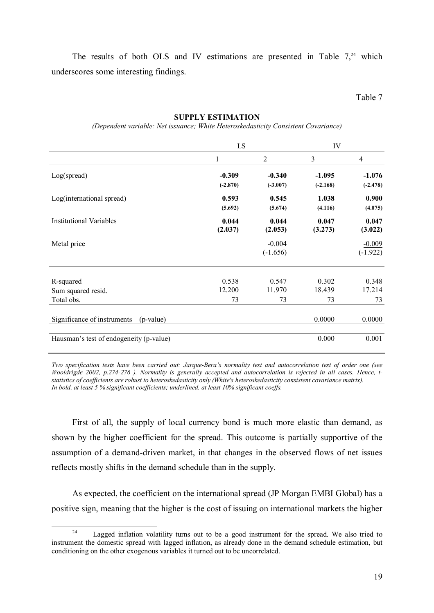The results of both OLS and IV estimations are presented in Table  $7<sub>1</sub><sup>24</sup>$  which underscores some interesting findings.

Table 7

#### SUPPLY ESTIMATION

(Dependent variable: Net issuance; White Heteroskedasticity Consistent Covariance)

|                                          | LS         |            | IV         |            |
|------------------------------------------|------------|------------|------------|------------|
|                                          |            | 2          | 3          | 4          |
| Log(spread)                              | $-0.309$   | $-0.340$   | $-1.095$   | $-1.076$   |
|                                          | $(-2.870)$ | $(-3.007)$ | $(-2.168)$ | $(-2.478)$ |
| Log(international spread)                | 0.593      | 0.545      | 1.038      | 0.900      |
|                                          | (5.692)    | (5.674)    | (4.116)    | (4.075)    |
| <b>Institutional Variables</b>           | 0.044      | 0.044      | 0.047      | 0.047      |
|                                          | (2.037)    | (2.053)    | (3.273)    | (3.022)    |
| Metal price                              |            | $-0.004$   |            | $-0.009$   |
|                                          |            | $(-1.656)$ |            | $(-1.922)$ |
| R-squared                                | 0.538      | 0.547      | 0.302      | 0.348      |
| Sum squared resid.                       | 12.200     | 11.970     | 18.439     | 17.214     |
| Total obs.                               | 73         | 73         | 73         | 73         |
|                                          |            |            |            |            |
| Significance of instruments<br>(p-value) |            |            | 0.0000     | 0.0000     |
| Hausman's test of endogeneity (p-value)  |            |            | 0.000      | 0.001      |
|                                          |            |            |            |            |

Two specification tests have been carried out: Jarque-Bera's normality test and autocorrelation test of order one (see Wooldrigde 2002, p.274-276 ). Normality is generally accepted and autocorrelation is rejected in all cases. Hence, tstatistics of coefficients are robust to heteroskedasticity only (White's heteroskedasticity consistent covariance matrix). In bold, at least 5 % significant coefficients; underlined, at least 10% significant coeffs.

First of all, the supply of local currency bond is much more elastic than demand, as shown by the higher coefficient for the spread. This outcome is partially supportive of the assumption of a demand-driven market, in that changes in the observed flows of net issues reflects mostly shifts in the demand schedule than in the supply.

As expected, the coefficient on the international spread (JP Morgan EMBI Global) has a positive sign, meaning that the higher is the cost of issuing on international markets the higher

 $24$  Lagged inflation volatility turns out to be a good instrument for the spread. We also tried to instrument the domestic spread with lagged inflation, as already done in the demand schedule estimation, but conditioning on the other exogenous variables it turned out to be uncorrelated.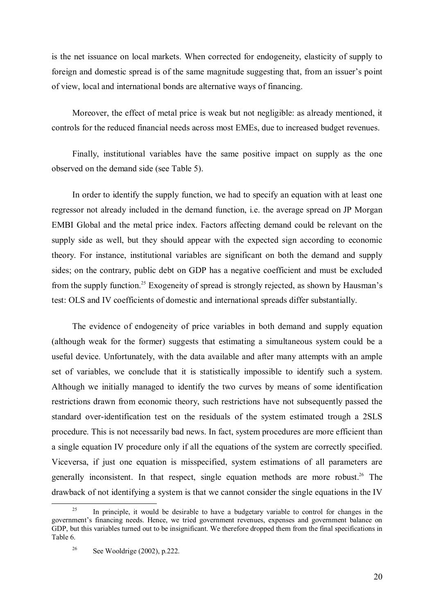is the net issuance on local markets. When corrected for endogeneity, elasticity of supply to foreign and domestic spread is of the same magnitude suggesting that, from an issuer's point of view, local and international bonds are alternative ways of financing.

Moreover, the effect of metal price is weak but not negligible: as already mentioned, it controls for the reduced financial needs across most EMEs, due to increased budget revenues.

Finally, institutional variables have the same positive impact on supply as the one observed on the demand side (see Table 5).

In order to identify the supply function, we had to specify an equation with at least one regressor not already included in the demand function, i.e. the average spread on JP Morgan EMBI Global and the metal price index. Factors affecting demand could be relevant on the supply side as well, but they should appear with the expected sign according to economic theory. For instance, institutional variables are significant on both the demand and supply sides; on the contrary, public debt on GDP has a negative coefficient and must be excluded from the supply function.<sup>25</sup> Exogeneity of spread is strongly rejected, as shown by Hausman's test: OLS and IV coefficients of domestic and international spreads differ substantially.

The evidence of endogeneity of price variables in both demand and supply equation (although weak for the former) suggests that estimating a simultaneous system could be a useful device. Unfortunately, with the data available and after many attempts with an ample set of variables, we conclude that it is statistically impossible to identify such a system. Although we initially managed to identify the two curves by means of some identification restrictions drawn from economic theory, such restrictions have not subsequently passed the standard over-identification test on the residuals of the system estimated trough a 2SLS procedure. This is not necessarily bad news. In fact, system procedures are more efficient than a single equation IV procedure only if all the equations of the system are correctly specified. Viceversa, if just one equation is misspecified, system estimations of all parameters are generally inconsistent. In that respect, single equation methods are more robust.<sup>26</sup> The drawback of not identifying a system is that we cannot consider the single equations in the IV

 $25$  In principle, it would be desirable to have a budgetary variable to control for changes in the government's financing needs. Hence, we tried government revenues, expenses and government balance on GDP, but this variables turned out to be insignificant. We therefore dropped them from the final specifications in Table 6.

<sup>&</sup>lt;sup>26</sup> See Wooldrige  $(2002)$ , p.222.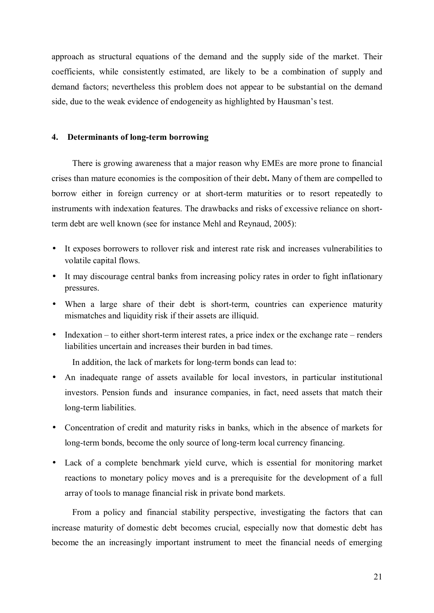approach as structural equations of the demand and the supply side of the market. Their coefficients, while consistently estimated, are likely to be a combination of supply and demand factors; nevertheless this problem does not appear to be substantial on the demand side, due to the weak evidence of endogeneity as highlighted by Hausman's test.

## 4. Determinants of long-term borrowing

There is growing awareness that a major reason why EMEs are more prone to financial crises than mature economies is the composition of their debt. Many of them are compelled to borrow either in foreign currency or at short-term maturities or to resort repeatedly to instruments with indexation features. The drawbacks and risks of excessive reliance on shortterm debt are well known (see for instance Mehl and Reynaud, 2005):

- It exposes borrowers to rollover risk and interest rate risk and increases vulnerabilities to volatile capital flows.
- It may discourage central banks from increasing policy rates in order to fight inflationary pressures.
- When a large share of their debt is short-term, countries can experience maturity mismatches and liquidity risk if their assets are illiquid.
- Indexation to either short-term interest rates, a price index or the exchange rate renders liabilities uncertain and increases their burden in bad times.

In addition, the lack of markets for long-term bonds can lead to:

- An inadequate range of assets available for local investors, in particular institutional investors. Pension funds and insurance companies, in fact, need assets that match their long-term liabilities.
- Concentration of credit and maturity risks in banks, which in the absence of markets for long-term bonds, become the only source of long-term local currency financing.
- Lack of a complete benchmark yield curve, which is essential for monitoring market reactions to monetary policy moves and is a prerequisite for the development of a full array of tools to manage financial risk in private bond markets.

From a policy and financial stability perspective, investigating the factors that can increase maturity of domestic debt becomes crucial, especially now that domestic debt has become the an increasingly important instrument to meet the financial needs of emerging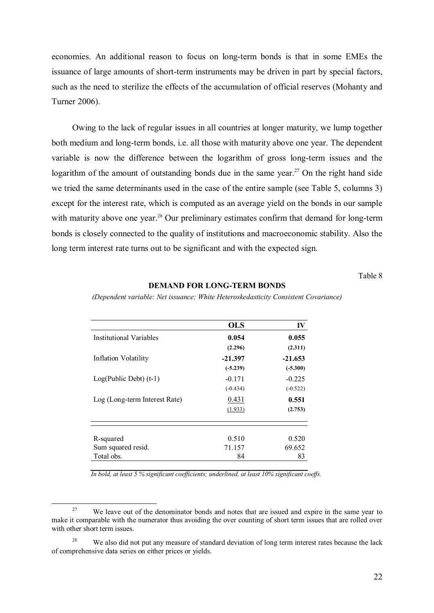economies. An additional reason to focus on long-term bonds is that in some EMEs the issuance of large amounts of short-term instruments may be driven in part by special factors, such as the need to sterilize the effects of the accumulation of official reserves (Mohanty and Turner 2006).

Owing to the lack of regular issues in all countries at longer maturity, we lump together both medium and long-term bonds, i.e. all those with maturity above one year. The dependent variable is now the difference between the logarithm of gross long-term issues and the logarithm of the amount of outstanding bonds due in the same year.<sup>27</sup> On the right hand side we tried the same determinants used in the case of the entire sample (see Table 5, columns 3) except for the interest rate, which is computed as an average yield on the bonds in our sample with maturity above one year.<sup>28</sup> Our preliminary estimates confirm that demand for long-term bonds is closely connected to the quality of institutions and macroeconomic stability. Also the long term interest rate turns out to be significant and with the expected sign.

Table 8

#### DEMAND FOR LONG-TERM BONDS

(Dependent variable: Net issuance; White Heteroskedasticity Consistent Covariance)

|                                | <b>OLS</b> | IV         |
|--------------------------------|------------|------------|
| <b>Institutional Variables</b> | 0.054      | 0.055      |
|                                | (2.296)    | (2.311)    |
| Inflation Volatility           | $-21.397$  | $-21.653$  |
|                                | $(-5.239)$ | $(-5.300)$ |
| $Log(Public Deb)$ (t-1)        | $-0.171$   | $-0.225$   |
|                                | $(-0.434)$ | $(-0.522)$ |
| Log (Long-term Interest Rate)  | 0.431      | 0.551      |
|                                | (1.933)    | (2.753)    |
|                                |            |            |
| R-squared                      | 0.510      | 0.520      |
| Sum squared resid.             | 71.157     | 69.652     |
| Total obs.                     | 84         | 83         |

In bold, at least 5 % significant coefficients; underlined, at least 10% significant coeffs.

<sup>&</sup>lt;sup>27</sup> We leave out of the denominator bonds and notes that are issued and expire in the same year to make it comparable with the numerator thus avoiding the over counting of short term issues that are rolled over with other short term issues.

<sup>&</sup>lt;sup>28</sup> We also did not put any measure of standard deviation of long term interest rates because the lack of comprehensive data series on either prices or yields.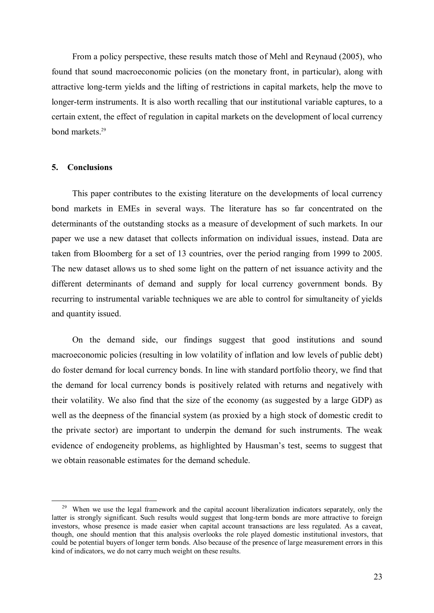From a policy perspective, these results match those of Mehl and Reynaud (2005), who found that sound macroeconomic policies (on the monetary front, in particular), along with attractive long-term yields and the lifting of restrictions in capital markets, help the move to longer-term instruments. It is also worth recalling that our institutional variable captures, to a certain extent, the effect of regulation in capital markets on the development of local currency bond markets.<sup>29</sup>

## 5. Conclusions

 $\overline{a}$ 

This paper contributes to the existing literature on the developments of local currency bond markets in EMEs in several ways. The literature has so far concentrated on the determinants of the outstanding stocks as a measure of development of such markets. In our paper we use a new dataset that collects information on individual issues, instead. Data are taken from Bloomberg for a set of 13 countries, over the period ranging from 1999 to 2005. The new dataset allows us to shed some light on the pattern of net issuance activity and the different determinants of demand and supply for local currency government bonds. By recurring to instrumental variable techniques we are able to control for simultaneity of yields and quantity issued.

On the demand side, our findings suggest that good institutions and sound macroeconomic policies (resulting in low volatility of inflation and low levels of public debt) do foster demand for local currency bonds. In line with standard portfolio theory, we find that the demand for local currency bonds is positively related with returns and negatively with their volatility. We also find that the size of the economy (as suggested by a large GDP) as well as the deepness of the financial system (as proxied by a high stock of domestic credit to the private sector) are important to underpin the demand for such instruments. The weak evidence of endogeneity problems, as highlighted by Hausman's test, seems to suggest that we obtain reasonable estimates for the demand schedule.

<sup>29</sup> When we use the legal framework and the capital account liberalization indicators separately, only the latter is strongly significant. Such results would suggest that long-term bonds are more attractive to foreign investors, whose presence is made easier when capital account transactions are less regulated. As a caveat, though, one should mention that this analysis overlooks the role played domestic institutional investors, that could be potential buyers of longer term bonds. Also because of the presence of large measurement errors in this kind of indicators, we do not carry much weight on these results.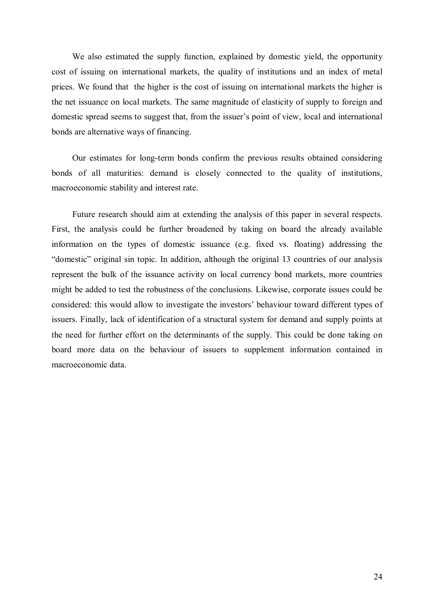We also estimated the supply function, explained by domestic yield, the opportunity cost of issuing on international markets, the quality of institutions and an index of metal prices. We found that the higher is the cost of issuing on international markets the higher is the net issuance on local markets. The same magnitude of elasticity of supply to foreign and domestic spread seems to suggest that, from the issuer's point of view, local and international bonds are alternative ways of financing.

Our estimates for long-term bonds confirm the previous results obtained considering bonds of all maturities: demand is closely connected to the quality of institutions, macroeconomic stability and interest rate.

Future research should aim at extending the analysis of this paper in several respects. First, the analysis could be further broadened by taking on board the already available information on the types of domestic issuance (e.g. fixed vs. floating) addressing the "domestic" original sin topic. In addition, although the original 13 countries of our analysis represent the bulk of the issuance activity on local currency bond markets, more countries might be added to test the robustness of the conclusions. Likewise, corporate issues could be considered: this would allow to investigate the investors' behaviour toward different types of issuers. Finally, lack of identification of a structural system for demand and supply points at the need for further effort on the determinants of the supply. This could be done taking on board more data on the behaviour of issuers to supplement information contained in macroeconomic data.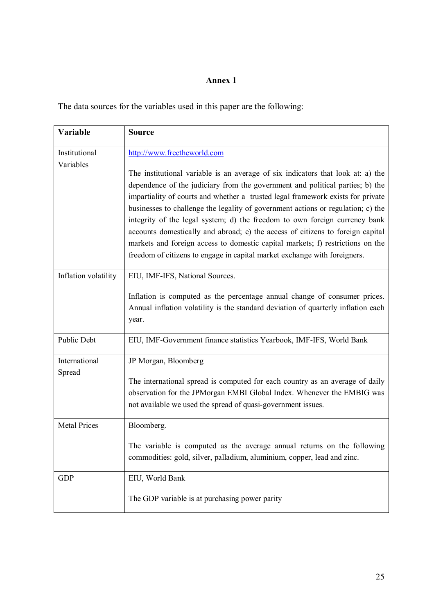## Annex 1

The data sources for the variables used in this paper are the following:

| Variable                   | <b>Source</b>                                                                                                                                                                                                                                                                                                                                                                                                                                                                                                                                                                                                                                                          |
|----------------------------|------------------------------------------------------------------------------------------------------------------------------------------------------------------------------------------------------------------------------------------------------------------------------------------------------------------------------------------------------------------------------------------------------------------------------------------------------------------------------------------------------------------------------------------------------------------------------------------------------------------------------------------------------------------------|
| Institutional<br>Variables | http://www.freetheworld.com                                                                                                                                                                                                                                                                                                                                                                                                                                                                                                                                                                                                                                            |
|                            | The institutional variable is an average of six indicators that look at: a) the<br>dependence of the judiciary from the government and political parties; b) the<br>impartiality of courts and whether a trusted legal framework exists for private<br>businesses to challenge the legality of government actions or regulation; c) the<br>integrity of the legal system; d) the freedom to own foreign currency bank<br>accounts domestically and abroad; e) the access of citizens to foreign capital<br>markets and foreign access to domestic capital markets; f) restrictions on the<br>freedom of citizens to engage in capital market exchange with foreigners. |
| Inflation volatility       | EIU, IMF-IFS, National Sources.                                                                                                                                                                                                                                                                                                                                                                                                                                                                                                                                                                                                                                        |
|                            | Inflation is computed as the percentage annual change of consumer prices.<br>Annual inflation volatility is the standard deviation of quarterly inflation each<br>year.                                                                                                                                                                                                                                                                                                                                                                                                                                                                                                |
| <b>Public Debt</b>         | EIU, IMF-Government finance statistics Yearbook, IMF-IFS, World Bank                                                                                                                                                                                                                                                                                                                                                                                                                                                                                                                                                                                                   |
| International              | JP Morgan, Bloomberg                                                                                                                                                                                                                                                                                                                                                                                                                                                                                                                                                                                                                                                   |
| Spread                     | The international spread is computed for each country as an average of daily<br>observation for the JPMorgan EMBI Global Index. Whenever the EMBIG was<br>not available we used the spread of quasi-government issues.                                                                                                                                                                                                                                                                                                                                                                                                                                                 |
| <b>Metal Prices</b>        | Bloomberg.                                                                                                                                                                                                                                                                                                                                                                                                                                                                                                                                                                                                                                                             |
|                            | The variable is computed as the average annual returns on the following<br>commodities: gold, silver, palladium, aluminium, copper, lead and zinc.                                                                                                                                                                                                                                                                                                                                                                                                                                                                                                                     |
| <b>GDP</b>                 | EIU, World Bank                                                                                                                                                                                                                                                                                                                                                                                                                                                                                                                                                                                                                                                        |
|                            | The GDP variable is at purchasing power parity                                                                                                                                                                                                                                                                                                                                                                                                                                                                                                                                                                                                                         |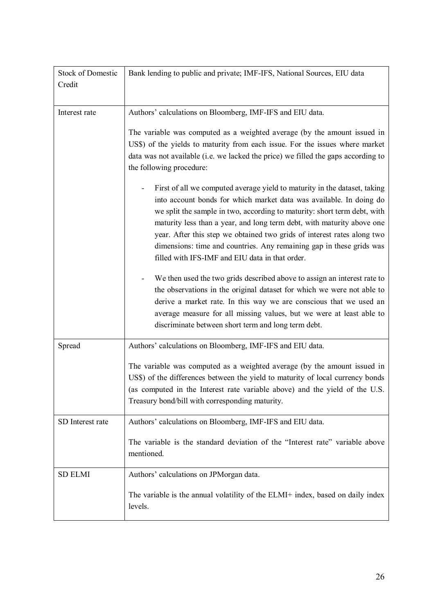| <b>Stock of Domestic</b> | Bank lending to public and private; IMF-IFS, National Sources, EIU data                                                                                                                                                                                                                                                                                                                                                                                                                                      |
|--------------------------|--------------------------------------------------------------------------------------------------------------------------------------------------------------------------------------------------------------------------------------------------------------------------------------------------------------------------------------------------------------------------------------------------------------------------------------------------------------------------------------------------------------|
| Credit                   |                                                                                                                                                                                                                                                                                                                                                                                                                                                                                                              |
|                          |                                                                                                                                                                                                                                                                                                                                                                                                                                                                                                              |
| Interest rate            | Authors' calculations on Bloomberg, IMF-IFS and EIU data.                                                                                                                                                                                                                                                                                                                                                                                                                                                    |
|                          | The variable was computed as a weighted average (by the amount issued in<br>US\$) of the yields to maturity from each issue. For the issues where market<br>data was not available (i.e. we lacked the price) we filled the gaps according to<br>the following procedure:                                                                                                                                                                                                                                    |
|                          | First of all we computed average yield to maturity in the dataset, taking<br>into account bonds for which market data was available. In doing do<br>we split the sample in two, according to maturity: short term debt, with<br>maturity less than a year, and long term debt, with maturity above one<br>year. After this step we obtained two grids of interest rates along two<br>dimensions: time and countries. Any remaining gap in these grids was<br>filled with IFS-IMF and EIU data in that order. |
|                          | We then used the two grids described above to assign an interest rate to<br>the observations in the original dataset for which we were not able to<br>derive a market rate. In this way we are conscious that we used an<br>average measure for all missing values, but we were at least able to<br>discriminate between short term and long term debt.                                                                                                                                                      |
| Spread                   | Authors' calculations on Bloomberg, IMF-IFS and EIU data.                                                                                                                                                                                                                                                                                                                                                                                                                                                    |
|                          | The variable was computed as a weighted average (by the amount issued in<br>US\$) of the differences between the yield to maturity of local currency bonds<br>(as computed in the Interest rate variable above) and the yield of the U.S.<br>Treasury bond/bill with corresponding maturity.                                                                                                                                                                                                                 |
| SD Interest rate         | Authors' calculations on Bloomberg, IMF-IFS and EIU data.                                                                                                                                                                                                                                                                                                                                                                                                                                                    |
|                          | The variable is the standard deviation of the "Interest rate" variable above<br>mentioned.                                                                                                                                                                                                                                                                                                                                                                                                                   |
| <b>SD ELMI</b>           | Authors' calculations on JPMorgan data.                                                                                                                                                                                                                                                                                                                                                                                                                                                                      |
|                          | The variable is the annual volatility of the ELMI+ index, based on daily index<br>levels.                                                                                                                                                                                                                                                                                                                                                                                                                    |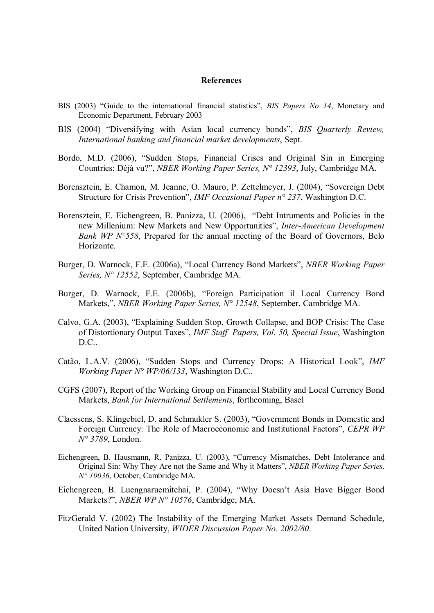#### References

- BIS (2003) "Guide to the international financial statistics", BIS Papers No 14, Monetary and Economic Department, February 2003
- BIS (2004) "Diversifying with Asian local currency bonds", BIS Quarterly Review, International banking and financial market developments, Sept.
- Bordo, M.D. (2006), "Sudden Stops, Financial Crises and Original Sin in Emerging Countries: Déjà vu?", NBER Working Paper Series, N° 12393, July, Cambridge MA.
- Borensztein, E. Chamon, M. Jeanne, O. Mauro, P. Zettelmeyer, J. (2004), "Sovereign Debt Structure for Crisis Prevention", IMF Occasional Paper n° 237, Washington D.C.
- Borensztein, E. Eichengreen, B. Panizza, U. (2006), "Debt Intruments and Policies in the new Millenium: New Markets and New Opportunities", Inter-American Development Bank  $WP$   $N^{\circ}$ 558, Prepared for the annual meeting of the Board of Governors, Belo Horizonte.
- Burger, D. Warnock, F.E. (2006a), "Local Currency Bond Markets", NBER Working Paper Series, N° 12552, September, Cambridge MA.
- Burger, D. Warnock, F.E. (2006b), "Foreign Participation il Local Currency Bond Markets,", *NBER Working Paper Series, N° 12548*, September, Cambridge MA.
- Calvo, G.A. (2003), "Explaining Sudden Stop, Growth Collapse, and BOP Crisis: The Case of Distortionary Output Taxes", IMF Staff Papers, Vol. 50, Special Issue, Washington D.C..
- Catão, L.A.V. (2006), "Sudden Stops and Currency Drops: A Historical Look", IMF Working Paper N° WP/06/133, Washington D.C..
- CGFS (2007), Report of the Working Group on Financial Stability and Local Currency Bond Markets, Bank for International Settlements, forthcoming, Basel
- Claessens, S. Klingebiel, D. and Schmukler S. (2003), "Government Bonds in Domestic and Foreign Currency: The Role of Macroeconomic and Institutional Factors", CEPR WP N° 3789, London.
- Eichengreen, B. Hausmann, R. Panizza, U. (2003), "Currency Mismatches, Debt Intolerance and Original Sin: Why They Are not the Same and Why it Matters", NBER Working Paper Series, N° 10036, October, Cambridge MA.
- Eichengreen, B. Luengnaruemitchai, P. (2004), "Why Doesn't Asia Have Bigger Bond Markets?", NBER WP N° 10576, Cambridge, MA.
- FitzGerald V. (2002) The Instability of the Emerging Market Assets Demand Schedule, United Nation University, WIDER Discussion Paper No. 2002/80.